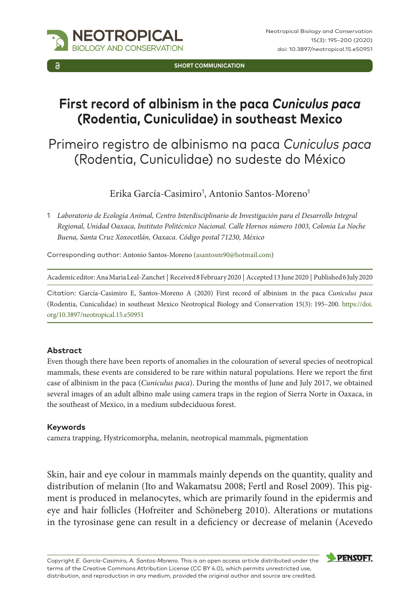

**SHORT COMMUNICATION**

# **First record of albinism in the paca** *Cuniculus paca* **(Rodentia, Cuniculidae) in southeast Mexico**

## Primeiro registro de albinismo na paca *Cuniculus paca*  (Rodentia, Cuniculidae) no sudeste do México

Erika García-Casimiro<sup>1</sup>, Antonio Santos-Moreno<sup>1</sup>

1 *Laboratorio de Ecología Animal, Centro Interdisciplinario de Investigación para el Desarrollo Integral Regional, Unidad Oaxaca, Instituto Politécnico Nacional. Calle Hornos número 1003, Colonia La Noche Buena, Santa Cruz Xoxocotlán, Oaxaca. Código postal 71230, México*

Corresponding author: Antonio Santos-Moreno ([asantosm90@hotmail.com](mailto:asantosm90@hotmail.com))

Academic editor: Ana Maria Leal-Zanchet | Received 8 February 2020 | Accepted 13 June 2020 | Published 6 July 2020

Citation: García-Casimiro E, Santos-Moreno A (2020) First record of albinism in the paca *Cuniculus paca* (Rodentia, Cuniculidae) in southeast Mexico Neotropical Biology and Conservation 15(3): 195–200. [https://doi.](https://doi.org/10.3897/neotropical.15.e50951) [org/10.3897/neotropical.15.e50951](https://doi.org/10.3897/neotropical.15.e50951)

### **Abstract**

Even though there have been reports of anomalies in the colouration of several species of neotropical mammals, these events are considered to be rare within natural populations. Here we report the first case of albinism in the paca (*Cuniculus paca*). During the months of June and July 2017, we obtained several images of an adult albino male using camera traps in the region of Sierra Norte in Oaxaca, in the southeast of Mexico, in a medium subdeciduous forest.

#### **Keywords**

camera trapping, Hystricomorpha, melanin, neotropical mammals, pigmentation

Skin, hair and eye colour in mammals mainly depends on the quantity, quality and distribution of melanin (Ito and Wakamatsu 2008; Fertl and Rosel 2009). This pigment is produced in melanocytes, which are primarily found in the epidermis and eye and hair follicles (Hofreiter and Schöneberg 2010). Alterations or mutations in the tyrosinase gene can result in a deficiency or decrease of melanin (Acevedo

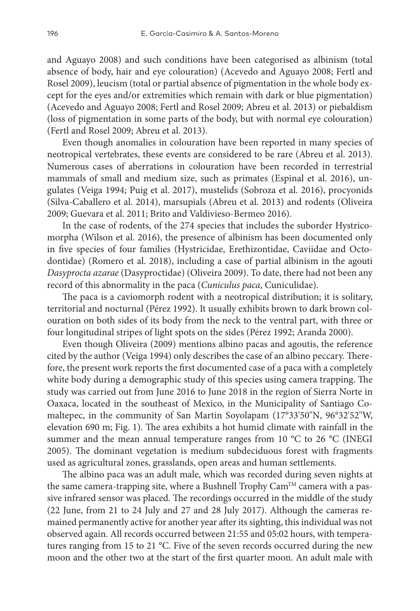and Aguayo 2008) and such conditions have been categorised as albinism (total absence of body, hair and eye colouration) (Acevedo and Aguayo 2008; Fertl and Rosel 2009), leucism (total or partial absence of pigmentation in the whole body except for the eyes and/or extremities which remain with dark or blue pigmentation) (Acevedo and Aguayo 2008; Fertl and Rosel 2009; Abreu et al. 2013) or piebaldism (loss of pigmentation in some parts of the body, but with normal eye colouration) (Fertl and Rosel 2009; Abreu et al. 2013).

Even though anomalies in colouration have been reported in many species of neotropical vertebrates, these events are considered to be rare (Abreu et al. 2013). Numerous cases of aberrations in colouration have been recorded in terrestrial mammals of small and medium size, such as primates (Espinal et al. 2016), ungulates (Veiga 1994; Puig et al. 2017), mustelids (Sobroza et al. 2016), procyonids (Silva-Caballero et al. 2014), marsupials (Abreu et al. 2013) and rodents (Oliveira 2009; Guevara et al. 2011; Brito and Valdivieso-Bermeo 2016).

In the case of rodents, of the 274 species that includes the suborder Hystricomorpha (Wilson et al. 2016), the presence of albinism has been documented only in five species of four families (Hystricidae, Erethizontidae, Caviidae and Octodontidae) (Romero et al. 2018), including a case of partial albinism in the agouti *Dasyprocta azarae* (Dasyproctidae) (Oliveira 2009). To date, there had not been any record of this abnormality in the paca (*Cuniculus paca*, Cuniculidae).

The paca is a caviomorph rodent with a neotropical distribution; it is solitary, territorial and nocturnal (Pérez 1992). It usually exhibits brown to dark brown colouration on both sides of its body from the neck to the ventral part, with three or four longitudinal stripes of light spots on the sides (Pérez 1992; Aranda 2000).

Even though Oliveira (2009) mentions albino pacas and agoutis, the reference cited by the author (Veiga 1994) only describes the case of an albino peccary. Therefore, the present work reports the first documented case of a paca with a completely white body during a demographic study of this species using camera trapping. The study was carried out from June 2016 to June 2018 in the region of Sierra Norte in Oaxaca, located in the southeast of Mexico, in the Municipality of Santiago Comaltepec, in the community of San Martin Soyolapam (17°33'50"N, 96°32'52"W, elevation 690 m; Fig. 1). The area exhibits a hot humid climate with rainfall in the summer and the mean annual temperature ranges from 10 °C to 26 °C (INEGI 2005). The dominant vegetation is medium subdeciduous forest with fragments used as agricultural zones, grasslands, open areas and human settlements.

The albino paca was an adult male, which was recorded during seven nights at the same camera-trapping site, where a Bushnell Trophy Cam<sup>TM</sup> camera with a passive infrared sensor was placed. The recordings occurred in the middle of the study (22 June, from 21 to 24 July and 27 and 28 July 2017). Although the cameras remained permanently active for another year after its sighting, this individual was not observed again. All records occurred between 21:55 and 05:02 hours, with temperatures ranging from 15 to 21 °C. Five of the seven records occurred during the new moon and the other two at the start of the first quarter moon. An adult male with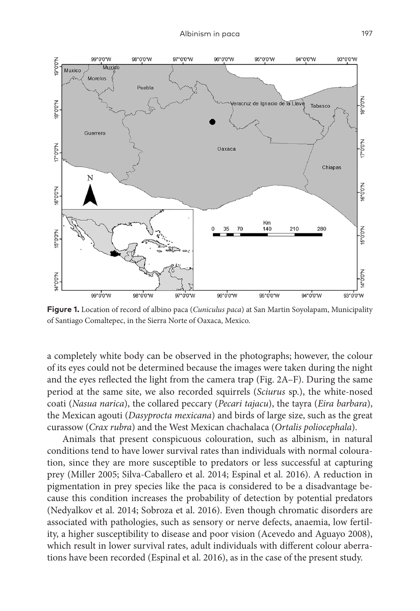

**Figure 1.** Location of record of albino paca (*Cuniculus paca*) at San Martin Soyolapam, Municipality of Santiago Comaltepec, in the Sierra Norte of Oaxaca, Mexico.

a completely white body can be observed in the photographs; however, the colour of its eyes could not be determined because the images were taken during the night and the eyes reflected the light from the camera trap (Fig. 2A–F). During the same period at the same site, we also recorded squirrels (*Sciurus* sp.), the white-nosed coati (*Nasua narica*), the collared peccary (*Pecari tajacu*), the tayra (*Eira barbara*), the Mexican agouti (*Dasyprocta mexicana*) and birds of large size, such as the great curassow (*Crax rubra*) and the West Mexican chachalaca (*Ortalis poliocephala*).

Animals that present conspicuous colouration, such as albinism, in natural conditions tend to have lower survival rates than individuals with normal colouration, since they are more susceptible to predators or less successful at capturing prey (Miller 2005; Silva-Caballero et al. 2014; Espinal et al. 2016). A reduction in pigmentation in prey species like the paca is considered to be a disadvantage because this condition increases the probability of detection by potential predators (Nedyalkov et al. 2014; Sobroza et al. 2016). Even though chromatic disorders are associated with pathologies, such as sensory or nerve defects, anaemia, low fertility, a higher susceptibility to disease and poor vision (Acevedo and Aguayo 2008), which result in lower survival rates, adult individuals with different colour aberrations have been recorded (Espinal et al. 2016), as in the case of the present study.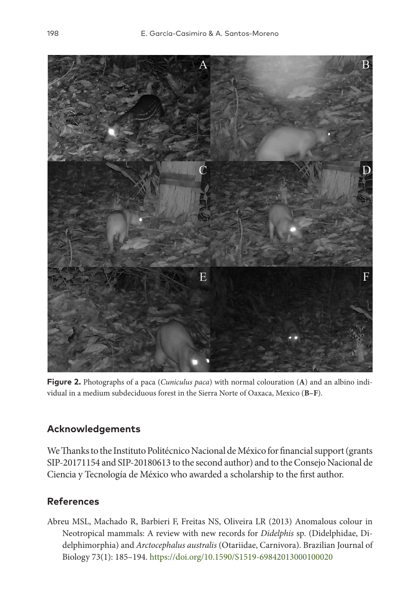

**Figure 2.** Photographs of a paca (*Cuniculus paca*) with normal colouration (**A**) and an albino individual in a medium subdeciduous forest in the Sierra Norte of Oaxaca, Mexico (**B–F**).

## **Acknowledgements**

We Thanks to the Instituto Politécnico Nacional de México for financial support (grants SIP-20171154 and SIP-20180613 to the second author) and to the Consejo Nacional de Ciencia y Tecnología de México who awarded a scholarship to the first author.

## **References**

Abreu MSL, Machado R, Barbieri F, Freitas NS, Oliveira LR (2013) Anomalous colour in Neotropical mammals: A review with new records for *Didelphis* sp. (Didelphidae, Didelphimorphia) and *Arctocephalus australis* (Otariidae, Carnivora). Brazilian Journal of Biology 73(1): 185–194. <https://doi.org/10.1590/S1519-69842013000100020>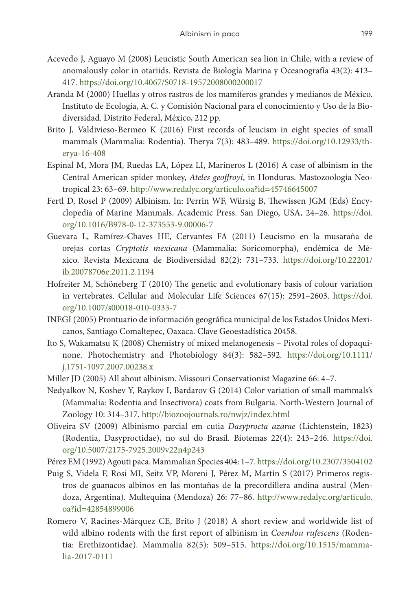- Acevedo J, Aguayo M (2008) Leucistic South American sea lion in Chile, with a review of anomalously color in otariids. Revista de Biología Marina y Oceanografía 43(2): 413– 417.<https://doi.org/10.4067/S0718-19572008000200017>
- Aranda M (2000) Huellas y otros rastros de los mamíferos grandes y medianos de México. Instituto de Ecología, A. C. y Comisión Nacional para el conocimiento y Uso de la Biodiversidad. Distrito Federal, México, 212 pp.
- Brito J, Valdivieso-Bermeo K (2016) First records of leucism in eight species of small mammals (Mammalia: Rodentia). Therya 7(3): 483–489. [https://doi.org/10.12933/th](https://doi.org/10.12933/therya-16-408)[erya-16-408](https://doi.org/10.12933/therya-16-408)
- Espinal M, Mora JM, Ruedas LA, López LI, Marineros L (2016) A case of albinism in the Central American spider monkey, *Ateles geoffroyi*, in Honduras. Mastozoología Neotropical 23: 63–69. <http://www.redalyc.org/articulo.oa?id=45746645007>
- Fertl D, Rosel P (2009) Albinism. In: Perrin WF, Würsig B, Thewissen JGM (Eds) Encyclopedia of Marine Mammals. Academic Press. San Diego, USA, 24–26. [https://doi.](https://doi.org/10.1016/B978-0-12-373553-9.00006-7) [org/10.1016/B978-0-12-373553-9.00006-7](https://doi.org/10.1016/B978-0-12-373553-9.00006-7)
- Guevara L, Ramírez-Chaves HE, Cervantes FA (2011) Leucismo en la musaraña de orejas cortas *Cryptotis mexicana* (Mammalia: Soricomorpha), endémica de México. Revista Mexicana de Biodiversidad 82(2): 731–733. [https://doi.org/10.22201/](https://doi.org/10.22201/ib.20078706e.2011.2.1194) [ib.20078706e.2011.2.1194](https://doi.org/10.22201/ib.20078706e.2011.2.1194)
- Hofreiter M, Schöneberg T (2010) The genetic and evolutionary basis of colour variation in vertebrates. Cellular and Molecular Life Sciences 67(15): 2591–2603. [https://doi.](https://doi.org/10.1007/s00018-010-0333-7) [org/10.1007/s00018-010-0333-7](https://doi.org/10.1007/s00018-010-0333-7)
- INEGI (2005) Prontuario de información geográfica municipal de los Estados Unidos Mexicanos, Santiago Comaltepec, Oaxaca. Clave Geoestadística 20458.
- Ito S, Wakamatsu K (2008) Chemistry of mixed melanogenesis Pivotal roles of dopaquinone. Photochemistry and Photobiology 84(3): 582–592. [https://doi.org/10.1111/](https://doi.org/10.1111/j.1751-1097.2007.00238.x) [j.1751-1097.2007.00238.x](https://doi.org/10.1111/j.1751-1097.2007.00238.x)
- Miller JD (2005) All about albinism. Missouri Conservationist Magazine 66: 4–7.
- Nedyalkov N, Koshev Y, Raykov I, Bardarov G (2014) Color variation of small mammals's (Mammalia: Rodentia and Insectivora) coats from Bulgaria. North-Western Journal of Zoology 10: 314–317. <http://biozoojournals.ro/nwjz/index.html>
- Oliveira SV (2009) Albinismo parcial em cutia *Dasyprocta azarae* (Lichtenstein, 1823) (Rodentia, Dasyproctidae), no sul do Brasil. Biotemas 22(4): 243–246. [https://doi.](https://doi.org/10.5007/2175-7925.2009v22n4p243) [org/10.5007/2175-7925.2009v22n4p243](https://doi.org/10.5007/2175-7925.2009v22n4p243)
- Pérez EM (1992) Agouti paca. Mammalian Species 404: 1–7.<https://doi.org/10.2307/3504102>
- Puig S, Videla F, Rosi MI, Seitz VP, Moreni J, Pérez M, Martín S (2017) Primeros registros de guanacos albinos en las montañas de la precordillera andina austral (Mendoza, Argentina). Multequina (Mendoza) 26: 77–86. [http://www.redalyc.org/articulo.](http://www.redalyc.org/articulo.oa?id=42854899006) [oa?id=42854899006](http://www.redalyc.org/articulo.oa?id=42854899006)
- Romero V, Racines-Márquez CE, Brito J (2018) A short review and worldwide list of wild albino rodents with the first report of albinism in *Coendou rufescens* (Rodentia: Erethizontidae). Mammalia 82(5): 509–515. [https://doi.org/10.1515/mamma](https://doi.org/10.1515/mammalia-2017-0111)[lia-2017-0111](https://doi.org/10.1515/mammalia-2017-0111)